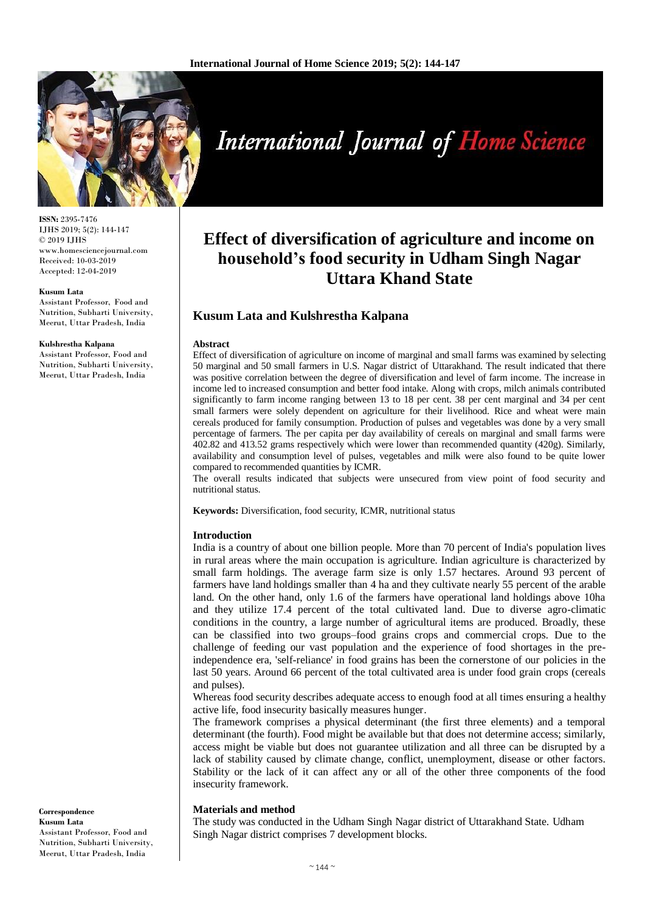

**ISSN:** 2395-7476 IJHS 2019; 5(2): 144-147 © 2019 IJHS www.homesciencejournal.com Received: 10-03-2019 Accepted: 12-04-2019

#### **Kusum Lata**

Assistant Professor, Food and Nutrition, Subharti University, Meerut, Uttar Pradesh, India

#### **Kulshrestha Kalpana**

Assistant Professor, Food and Nutrition, Subharti University, Meerut, Uttar Pradesh, India

#### **Correspondence Kusum Lata**  Assistant Professor, Food and Nutrition, Subharti University, Meerut, Uttar Pradesh, India

# **International Journal of Home Science**

# **Effect of diversification of agriculture and income on household's food security in Udham Singh Nagar Uttara Khand State**

# **Kusum Lata and Kulshrestha Kalpana**

#### **Abstract**

Effect of diversification of agriculture on income of marginal and small farms was examined by selecting 50 marginal and 50 small farmers in U.S. Nagar district of Uttarakhand. The result indicated that there was positive correlation between the degree of diversification and level of farm income. The increase in income led to increased consumption and better food intake. Along with crops, milch animals contributed significantly to farm income ranging between 13 to 18 per cent. 38 per cent marginal and 34 per cent small farmers were solely dependent on agriculture for their livelihood. Rice and wheat were main cereals produced for family consumption. Production of pulses and vegetables was done by a very small percentage of farmers. The per capita per day availability of cereals on marginal and small farms were 402.82 and 413.52 grams respectively which were lower than recommended quantity (420g). Similarly, availability and consumption level of pulses, vegetables and milk were also found to be quite lower compared to recommended quantities by ICMR.

The overall results indicated that subjects were unsecured from view point of food security and nutritional status.

**Keywords:** Diversification, food security, ICMR, nutritional status

#### **Introduction**

India is a country of about one billion people. More than 70 percent of India's population lives in rural areas where the main occupation is agriculture. Indian agriculture is characterized by small farm holdings. The average farm size is only 1.57 hectares. Around 93 percent of farmers have land holdings smaller than 4 ha and they cultivate nearly 55 percent of the arable land. On the other hand, only 1.6 of the farmers have operational land holdings above 10ha and they utilize 17.4 percent of the total cultivated land. Due to diverse agro-climatic conditions in the country, a large number of agricultural items are produced. Broadly, these can be classified into two groups–food grains crops and commercial crops. Due to the challenge of feeding our vast population and the experience of food shortages in the preindependence era, 'self-reliance' in food grains has been the cornerstone of our policies in the last 50 years. Around 66 percent of the total cultivated area is under food grain crops (cereals and pulses).

Whereas food security describes adequate access to enough food at all times ensuring a healthy active life, food insecurity basically measures hunger.

The framework comprises a physical determinant (the first three elements) and a temporal determinant (the fourth). Food might be available but that does not determine access; similarly, access might be viable but does not guarantee utilization and all three can be disrupted by a lack of stability caused by climate change, conflict, unemployment, disease or other factors. Stability or the lack of it can affect any or all of the other three components of the food insecurity framework.

#### **Materials and method**

The study was conducted in the Udham Singh Nagar district of Uttarakhand State. Udham Singh Nagar district comprises 7 development blocks.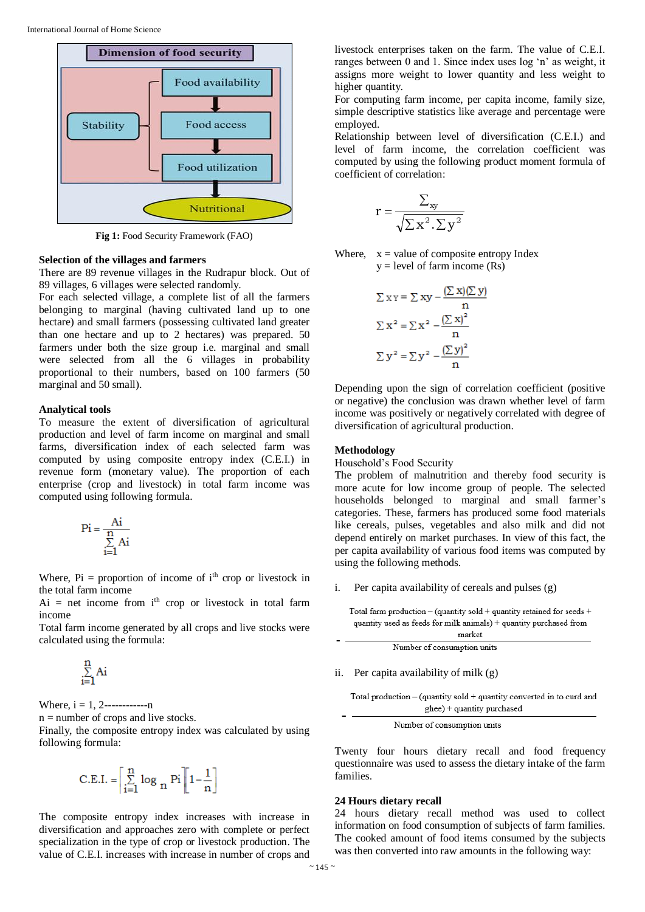

**Fig 1:** Food Security Framework (FAO)

#### **Selection of the villages and farmers**

There are 89 revenue villages in the Rudrapur block. Out of 89 villages, 6 villages were selected randomly.

For each selected village, a complete list of all the farmers belonging to marginal (having cultivated land up to one hectare) and small farmers (possessing cultivated land greater than one hectare and up to 2 hectares) was prepared. 50 farmers under both the size group i.e. marginal and small were selected from all the 6 villages in probability proportional to their numbers, based on 100 farmers (50 marginal and 50 small).

#### **Analytical tools**

To measure the extent of diversification of agricultural production and level of farm income on marginal and small farms, diversification index of each selected farm was computed by using composite entropy index (C.E.I.) in revenue form (monetary value). The proportion of each enterprise (crop and livestock) in total farm income was computed using following formula.

$$
Pi = \frac{Ai}{\sum_{i=1}^{n} Ai}
$$

Where,  $Pi =$  proportion of income of  $i<sup>th</sup>$  crop or livestock in the total farm income

 $Ai = net$  income from  $i<sup>th</sup>$  crop or livestock in total farm income

Total farm income generated by all crops and live stocks were calculated using the formula:

$$
\underset{i=1}{\overset{n}{\sum}}Ai
$$

Where,  $i = 1, 2$ ----------------

 $n =$  number of crops and live stocks.

Finally, the composite entropy index was calculated by using following formula:

$$
C.E.I. = \left\lceil \sum_{i=1}^{n} \log_{n} Pi \right\rceil \left[1 - \frac{1}{n}\right]
$$

The composite entropy index increases with increase in diversification and approaches zero with complete or perfect specialization in the type of crop or livestock production. The value of C.E.I. increases with increase in number of crops and

livestock enterprises taken on the farm. The value of C.E.I. ranges between 0 and 1. Since index uses log 'n' as weight, it assigns more weight to lower quantity and less weight to higher quantity.

For computing farm income, per capita income, family size, simple descriptive statistics like average and percentage were employed.

Relationship between level of diversification (C.E.I.) and level of farm income, the correlation coefficient was computed by using the following product moment formula of coefficient of correlation:

$$
r = \frac{\sum_{xy}}{\sqrt{\sum x^2 \cdot \sum y^2}}
$$

Where,  $x =$  value of composite entropy Index  $y = level of farm income (Rs)$ 

$$
\Sigma xy = \Sigma xy - \frac{(\Sigma x)(\Sigma y)}{n}
$$

$$
\Sigma x^2 = \Sigma x^2 - \frac{(\Sigma x)^2}{n}
$$

$$
\Sigma y^2 = \Sigma y^2 - \frac{(\Sigma y)^2}{n}
$$

Depending upon the sign of correlation coefficient (positive or negative) the conclusion was drawn whether level of farm income was positively or negatively correlated with degree of diversification of agricultural production.

# **Methodology**

Household's Food Security

The problem of malnutrition and thereby food security is more acute for low income group of people. The selected households belonged to marginal and small farmer's categories. These, farmers has produced some food materials like cereals, pulses, vegetables and also milk and did not depend entirely on market purchases. In view of this fact, the per capita availability of various food items was computed by using the following methods.

i. Per capita availability of cereals and pulses (g)

| Total farm production – (quantity sold + quantity retained for seeds + |
|------------------------------------------------------------------------|
| quantity used as feeds for milk animals) + quantity purchased from     |
|                                                                        |

| market                      |  |
|-----------------------------|--|
| Number of consumption units |  |

ii. Per capita availability of milk (g)

Total production – (quantity sold + quantity converted in to curd and  
 
$$
ghee) + quantity purchased
$$

Number of consumption units

Twenty four hours dietary recall and food frequency questionnaire was used to assess the dietary intake of the farm families.

### **24 Hours dietary recall**

24 hours dietary recall method was used to collect information on food consumption of subjects of farm families. The cooked amount of food items consumed by the subjects was then converted into raw amounts in the following way:

 $\equiv$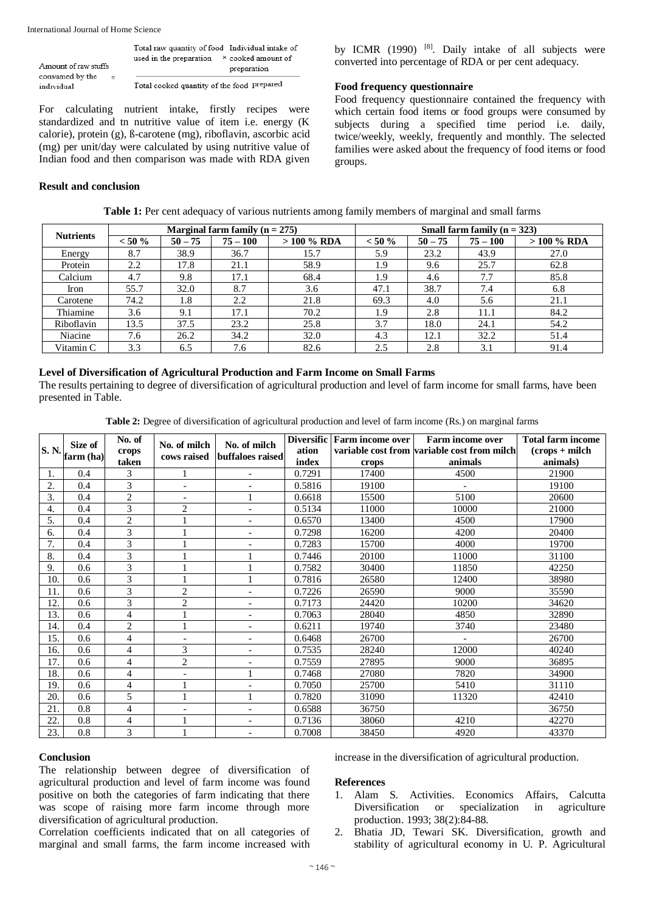International Journal of Home Science

|                                             | Total raw quantity of food Individual intake of |  |  |  |  |
|---------------------------------------------|-------------------------------------------------|--|--|--|--|
|                                             | used in the preparation × cooked amount of      |  |  |  |  |
| Amount of raw stuffs                        | preparation                                     |  |  |  |  |
| consumed by the<br>$\overline{\phantom{a}}$ |                                                 |  |  |  |  |
| individual                                  | Total cooked quantity of the food prepared      |  |  |  |  |

For calculating nutrient intake, firstly recipes were standardized and tn nutritive value of item i.e. energy (K calorie), protein (g), ß-carotene (mg), riboflavin, ascorbic acid (mg) per unit/day were calculated by using nutritive value of Indian food and then comparison was made with RDA given

# **Result and conclusion**

by ICMR (1990)<sup>[8]</sup>. Daily intake of all subjects were converted into percentage of RDA or per cent adequacy.

# **Food frequency questionnaire**

Food frequency questionnaire contained the frequency with which certain food items or food groups were consumed by subjects during a specified time period i.e. daily, twice/weekly, weekly, frequently and monthly. The selected families were asked about the frequency of food items or food groups.

| <b>Nutrients</b> | Marginal farm family $(n = 275)$ |           |            |              | Small farm family $(n = 323)$ |           |            |              |
|------------------|----------------------------------|-----------|------------|--------------|-------------------------------|-----------|------------|--------------|
|                  | $< 50 \%$                        | $50 - 75$ | $75 - 100$ | $>100\%$ RDA | $< 50 \%$                     | $50 - 75$ | $75 - 100$ | $>100\%$ RDA |
| Energy           | 8.7                              | 38.9      | 36.7       | 15.7         | 5.9                           | 23.2      | 43.9       | 27.0         |
| Protein          | 2.2                              | 17.8      | 21.1       | 58.9         | 1.9                           | 9.6       | 25.7       | 62.8         |
| Calcium          | 4.7                              | 9.8       | 17.1       | 68.4         | 1.9                           | 4.6       | 7.7        | 85.8         |
| Iron             | 55.7                             | 32.0      | 8.7        | 3.6          | 47.1                          | 38.7      | 7.4        | 6.8          |
| Carotene         | 74.2                             | 1.8       | 2.2        | 21.8         | 69.3                          | 4.0       | 5.6        | 21.1         |
| Thiamine         | 3.6                              | 9.1       | 17.1       | 70.2         | 1.9                           | 2.8       | 11.1       | 84.2         |
| Riboflavin       | 13.5                             | 37.5      | 23.2       | 25.8         | 3.7                           | 18.0      | 24.1       | 54.2         |
| Niacine          | 7.6                              | 26.2      | 34.2       | 32.0         | 4.3                           | 12.1      | 32.2       | 51.4         |
| Vitamin C        | 3.3                              | 6.5       | 7.6        | 82.6         | 2.5                           | 2.8       | 3.1        | 91.4         |

**Table 1:** Per cent adequacy of various nutrients among family members of marginal and small farms

# **Level of Diversification of Agricultural Production and Farm Income on Small Farms**

The results pertaining to degree of diversification of agricultural production and level of farm income for small farms, have been presented in Table.

|  |  |  | Table 2: Degree of diversification of agricultural production and level of farm income (Rs.) on marginal farms |
|--|--|--|----------------------------------------------------------------------------------------------------------------|
|  |  |  |                                                                                                                |

| S. N.            | Size of<br>farm (ha) | No. of<br>crops | No. of milch<br>cows raised | No. of milch<br>buffaloes raised | <b>Diversific</b><br>ation | <b>Farm income over</b> | <b>Farm income over</b><br>variable cost from variable cost from milch | <b>Total farm income</b><br>$(crops + milch)$ |
|------------------|----------------------|-----------------|-----------------------------|----------------------------------|----------------------------|-------------------------|------------------------------------------------------------------------|-----------------------------------------------|
|                  |                      | taken           |                             |                                  | index                      | crops                   | animals                                                                | animals)                                      |
| 1.               | 0.4                  | 3               |                             | $\overline{\phantom{0}}$         | 0.7291                     | 17400                   | 4500                                                                   | 21900                                         |
| $\overline{2}$ . | 0.4                  | 3               | $\overline{\phantom{0}}$    | $\overline{\phantom{0}}$         | 0.5816                     | 19100                   | $\overline{\phantom{a}}$                                               | 19100                                         |
| 3.               | 0.4                  | $\overline{c}$  | $\overline{\phantom{a}}$    |                                  | 0.6618                     | 15500                   | 5100                                                                   | 20600                                         |
| 4.               | 0.4                  | 3               | $\overline{c}$              |                                  | 0.5134                     | 11000                   | 10000                                                                  | 21000                                         |
| 5.               | 0.4                  | 2               |                             | $\overline{\phantom{0}}$         | 0.6570                     | 13400                   | 4500                                                                   | 17900                                         |
| 6.               | 0.4                  | 3               |                             | $\overline{\phantom{0}}$         | 0.7298                     | 16200                   | 4200                                                                   | 20400                                         |
| 7.               | 0.4                  | 3               |                             |                                  | 0.7283                     | 15700                   | 4000                                                                   | 19700                                         |
| 8.               | 0.4                  | 3               |                             |                                  | 0.7446                     | 20100                   | 11000                                                                  | 31100                                         |
| 9.               | 0.6                  | 3               |                             |                                  | 0.7582                     | 30400                   | 11850                                                                  | 42250                                         |
| 10.              | 0.6                  | 3               |                             |                                  | 0.7816                     | 26580                   | 12400                                                                  | 38980                                         |
| 11.              | 0.6                  | 3               | $\overline{2}$              |                                  | 0.7226                     | 26590                   | 9000                                                                   | 35590                                         |
| 12.              | 0.6                  | 3               | $\overline{2}$              | $\overline{\phantom{0}}$         | 0.7173                     | 24420                   | 10200                                                                  | 34620                                         |
| 13.              | 0.6                  | 4               |                             | $\overline{\phantom{0}}$         | 0.7063                     | 28040                   | 4850                                                                   | 32890                                         |
| 14.              | 0.4                  | 2               |                             | $\overline{\phantom{0}}$         | 0.6211                     | 19740                   | 3740                                                                   | 23480                                         |
| 15.              | 0.6                  | $\overline{4}$  | $\overline{\phantom{a}}$    | $\overline{\phantom{0}}$         | 0.6468                     | 26700                   | $\overline{\phantom{a}}$                                               | 26700                                         |
| 16.              | 0.6                  | 4               | 3                           | $\overline{\phantom{0}}$         | 0.7535                     | 28240                   | 12000                                                                  | 40240                                         |
| 17.              | 0.6                  | 4               | $\overline{c}$              |                                  | 0.7559                     | 27895                   | 9000                                                                   | 36895                                         |
| 18.              | 0.6                  | 4               |                             |                                  | 0.7468                     | 27080                   | 7820                                                                   | 34900                                         |
| 19.              | 0.6                  | 4               |                             |                                  | 0.7050                     | 25700                   | 5410                                                                   | 31110                                         |
| 20.              | 0.6                  | 5               |                             |                                  | 0.7820                     | 31090                   | 11320                                                                  | 42410                                         |
| 21.              | 0.8                  | 4               |                             | $\overline{\phantom{0}}$         | 0.6588                     | 36750                   |                                                                        | 36750                                         |
| 22.              | 0.8                  | $\overline{4}$  |                             |                                  | 0.7136                     | 38060                   | 4210                                                                   | 42270                                         |
| 23.              | 0.8                  | 3               |                             |                                  | 0.7008                     | 38450                   | 4920                                                                   | 43370                                         |

#### **Conclusion**

The relationship between degree of diversification of agricultural production and level of farm income was found positive on both the categories of farm indicating that there was scope of raising more farm income through more diversification of agricultural production.

Correlation coefficients indicated that on all categories of marginal and small farms, the farm income increased with increase in the diversification of agricultural production.

# **References**

- 1. Alam S. Activities. Economics Affairs, Calcutta Diversification or specialization in agriculture production. 1993; 38(2):84-88.
- 2. Bhatia JD, Tewari SK. Diversification, growth and stability of agricultural economy in U. P. Agricultural